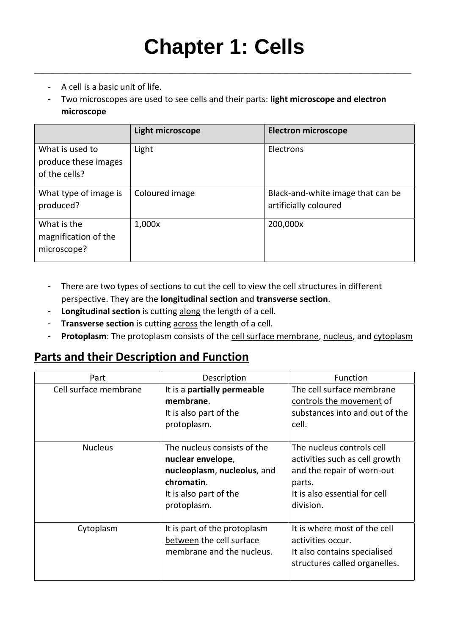**\_\_\_\_\_\_\_\_\_\_\_\_\_\_\_\_\_\_\_\_\_\_\_\_\_\_\_\_\_\_\_\_\_\_\_\_\_\_\_\_\_\_\_\_\_\_\_\_\_\_\_\_\_\_\_\_\_\_\_\_\_\_\_\_\_\_\_\_\_\_\_\_\_\_\_\_\_\_\_\_\_\_\_\_\_\_\_\_\_\_\_\_\_\_\_\_\_\_\_\_**

- A cell is a basic unit of life.
- Two microscopes are used to see cells and their parts: **light microscope and electron microscope**

|                                                          | Light microscope | <b>Electron microscope</b>                                 |
|----------------------------------------------------------|------------------|------------------------------------------------------------|
| What is used to<br>produce these images<br>of the cells? | Light            | Electrons                                                  |
| What type of image is<br>produced?                       | Coloured image   | Black-and-white image that can be<br>artificially coloured |
| What is the<br>magnification of the<br>microscope?       | 1,000x           | 200,000x                                                   |

- There are two types of sections to cut the cell to view the cell structures in different perspective. They are the **longitudinal section** and **transverse section**.
- **Longitudinal section** is cutting along the length of a cell.
- **Transverse section** is cutting across the length of a cell.
- **Protoplasm**: The protoplasm consists of the cell surface membrane, nucleus, and cytoplasm

### **Parts and their Description and Function**

| Part                  | Description                                                                                                                            | <b>Function</b>                                                                                                                                   |
|-----------------------|----------------------------------------------------------------------------------------------------------------------------------------|---------------------------------------------------------------------------------------------------------------------------------------------------|
| Cell surface membrane | It is a partially permeable<br>membrane.<br>It is also part of the<br>protoplasm.                                                      | The cell surface membrane<br>controls the movement of<br>substances into and out of the<br>cell.                                                  |
| <b>Nucleus</b>        | The nucleus consists of the<br>nuclear envelope,<br>nucleoplasm, nucleolus, and<br>chromatin.<br>It is also part of the<br>protoplasm. | The nucleus controls cell<br>activities such as cell growth<br>and the repair of worn-out<br>parts.<br>It is also essential for cell<br>division. |
| Cytoplasm             | It is part of the protoplasm<br>between the cell surface<br>membrane and the nucleus.                                                  | It is where most of the cell<br>activities occur.<br>It also contains specialised<br>structures called organelles.                                |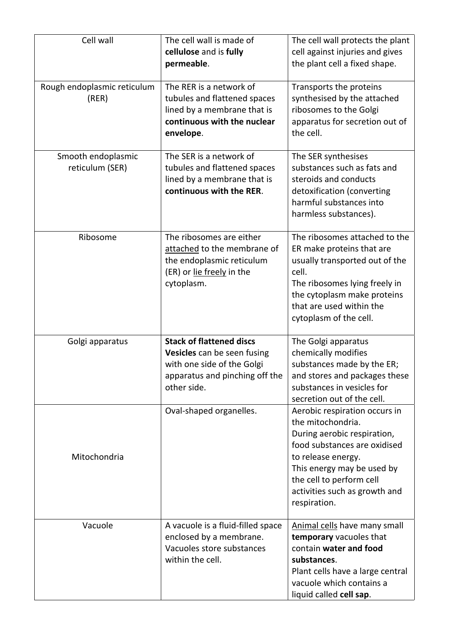| Cell wall                             | The cell wall is made of<br>cellulose and is fully<br>permeable.                                                                              | The cell wall protects the plant<br>cell against injuries and gives<br>the plant cell a fixed shape.                                                                                                                                               |
|---------------------------------------|-----------------------------------------------------------------------------------------------------------------------------------------------|----------------------------------------------------------------------------------------------------------------------------------------------------------------------------------------------------------------------------------------------------|
| Rough endoplasmic reticulum<br>(RER)  | The RER is a network of<br>tubules and flattened spaces<br>lined by a membrane that is<br>continuous with the nuclear<br>envelope.            | Transports the proteins<br>synthesised by the attached<br>ribosomes to the Golgi<br>apparatus for secretion out of<br>the cell.                                                                                                                    |
| Smooth endoplasmic<br>reticulum (SER) | The SER is a network of<br>tubules and flattened spaces<br>lined by a membrane that is<br>continuous with the RER.                            | The SER synthesises<br>substances such as fats and<br>steroids and conducts<br>detoxification (converting<br>harmful substances into<br>harmless substances).                                                                                      |
| Ribosome                              | The ribosomes are either<br>attached to the membrane of<br>the endoplasmic reticulum<br>(ER) or lie freely in the<br>cytoplasm.               | The ribosomes attached to the<br>ER make proteins that are<br>usually transported out of the<br>cell.<br>The ribosomes lying freely in<br>the cytoplasm make proteins<br>that are used within the<br>cytoplasm of the cell.                        |
| Golgi apparatus                       | <b>Stack of flattened discs</b><br>Vesicles can be seen fusing<br>with one side of the Golgi<br>apparatus and pinching off the<br>other side. | The Golgi apparatus<br>chemically modifies<br>substances made by the ER;<br>and stores and packages these<br>substances in vesicles for<br>secretion out of the cell.                                                                              |
| Mitochondria                          | Oval-shaped organelles.                                                                                                                       | Aerobic respiration occurs in<br>the mitochondria.<br>During aerobic respiration,<br>food substances are oxidised<br>to release energy.<br>This energy may be used by<br>the cell to perform cell<br>activities such as growth and<br>respiration. |
| Vacuole                               | A vacuole is a fluid-filled space<br>enclosed by a membrane.<br>Vacuoles store substances<br>within the cell.                                 | Animal cells have many small<br>temporary vacuoles that<br>contain water and food<br>substances.<br>Plant cells have a large central<br>vacuole which contains a<br>liquid called cell sap.                                                        |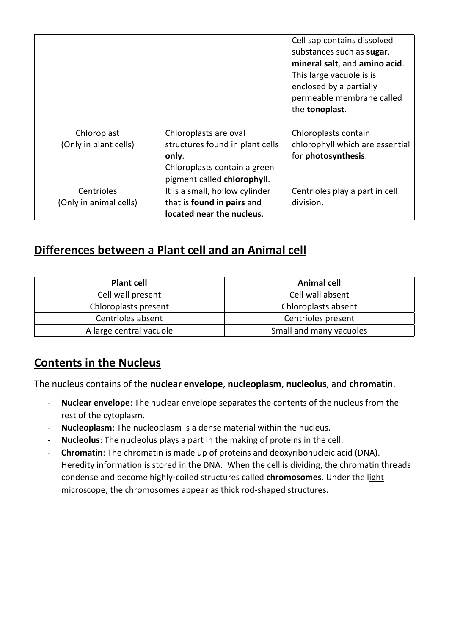|                                      |                                                                                                                                  | Cell sap contains dissolved<br>substances such as sugar,<br>mineral salt, and amino acid.<br>This large vacuole is is<br>enclosed by a partially<br>permeable membrane called<br>the tonoplast. |
|--------------------------------------|----------------------------------------------------------------------------------------------------------------------------------|-------------------------------------------------------------------------------------------------------------------------------------------------------------------------------------------------|
| Chloroplast<br>(Only in plant cells) | Chloroplasts are oval<br>structures found in plant cells<br>only.<br>Chloroplasts contain a green<br>pigment called chlorophyll. | Chloroplasts contain<br>chlorophyll which are essential<br>for photosynthesis.                                                                                                                  |
| Centrioles<br>(Only in animal cells) | It is a small, hollow cylinder<br>that is found in pairs and<br>located near the nucleus.                                        | Centrioles play a part in cell<br>division.                                                                                                                                                     |

## **Differences between a Plant cell and an Animal cell**

| <b>Plant cell</b>       | <b>Animal cell</b>      |
|-------------------------|-------------------------|
| Cell wall present       | Cell wall absent        |
| Chloroplasts present    | Chloroplasts absent     |
| Centrioles absent       | Centrioles present      |
| A large central vacuole | Small and many vacuoles |

## **Contents in the Nucleus**

The nucleus contains of the **nuclear envelope**, **nucleoplasm**, **nucleolus**, and **chromatin**.

- **Nuclear envelope**: The nuclear envelope separates the contents of the nucleus from the rest of the cytoplasm.
- **Nucleoplasm**: The nucleoplasm is a dense material within the nucleus.
- **Nucleolus**: The nucleolus plays a part in the making of proteins in the cell.
- **Chromatin**: The chromatin is made up of proteins and deoxyribonucleic acid (DNA). Heredity information is stored in the DNA. When the cell is dividing, the chromatin threads condense and become highly-coiled structures called **chromosomes**. Under the light microscope, the chromosomes appear as thick rod-shaped structures.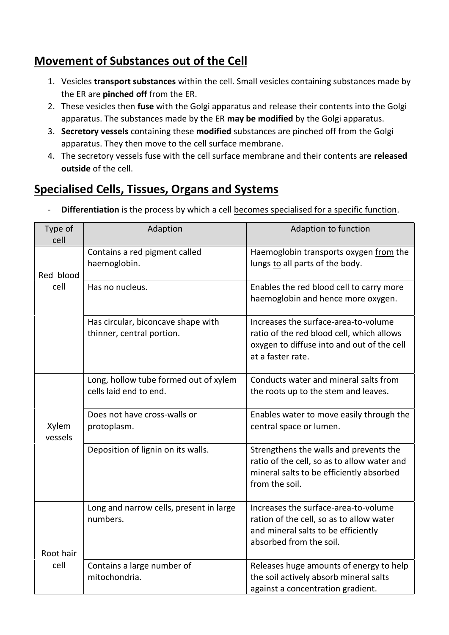## **Movement of Substances out of the Cell**

- 1. Vesicles **transport substances** within the cell. Small vesicles containing substances made by the ER are **pinched off** from the ER.
- 2. These vesicles then **fuse** with the Golgi apparatus and release their contents into the Golgi apparatus. The substances made by the ER **may be modified** by the Golgi apparatus.
- 3. **Secretory vessels** containing these **modified** substances are pinched off from the Golgi apparatus. They then move to the cell surface membrane.
- 4. The secretory vessels fuse with the cell surface membrane and their contents are **released outside** of the cell.

# **Specialised Cells, Tissues, Organs and Systems**

- **Differentiation** is the process by which a cell becomes specialised for a specific function.

| Type of<br>cell  | Adaption                                                        | Adaption to function                                                                                                                                 |
|------------------|-----------------------------------------------------------------|------------------------------------------------------------------------------------------------------------------------------------------------------|
| Red blood        | Contains a red pigment called<br>haemoglobin.                   | Haemoglobin transports oxygen from the<br>lungs to all parts of the body.                                                                            |
| cell             | Has no nucleus.                                                 | Enables the red blood cell to carry more<br>haemoglobin and hence more oxygen.                                                                       |
|                  | Has circular, biconcave shape with<br>thinner, central portion. | Increases the surface-area-to-volume<br>ratio of the red blood cell, which allows<br>oxygen to diffuse into and out of the cell<br>at a faster rate. |
|                  | Long, hollow tube formed out of xylem<br>cells laid end to end. | Conducts water and mineral salts from<br>the roots up to the stem and leaves.                                                                        |
| Xylem<br>vessels | Does not have cross-walls or<br>protoplasm.                     | Enables water to move easily through the<br>central space or lumen.                                                                                  |
|                  | Deposition of lignin on its walls.                              | Strengthens the walls and prevents the<br>ratio of the cell, so as to allow water and<br>mineral salts to be efficiently absorbed<br>from the soil.  |
| Root hair        | Long and narrow cells, present in large<br>numbers.             | Increases the surface-area-to-volume<br>ration of the cell, so as to allow water<br>and mineral salts to be efficiently<br>absorbed from the soil.   |
| cell             | Contains a large number of<br>mitochondria.                     | Releases huge amounts of energy to help<br>the soil actively absorb mineral salts<br>against a concentration gradient.                               |